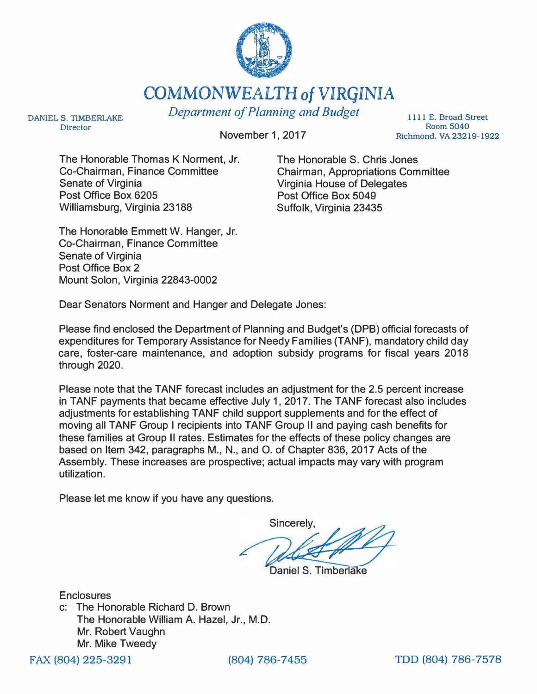

COMMONWEALTH *of* VIRGINIA

DANIEL S. TIMBERLAKE Director

November 1, 2017

*Department of Planning and Budget* 

1111 E. Broad Street Room 5040 Richmond, VA 23219-1922

The Honorable Thomas K Norment, Jr. Co-Chairman, Finance Committee Senate of Virginia Post Office Box 6205 Williamsburg, Virginia 23188

The Honorable S. Chris Jones Chairman, Appropriations Committee Virginia House of Delegates Post Office Box 5049 Suffolk, Virginia 23435

The Honorable Emmett W. Hanger, Jr. Co-Chairman, Finance Committee Senate of Virginia Post Office Box 2 Mount Solon, Virginia 22843-0002

Dear Senators Norment and Hanger and Delegate Jones:

Please find enclosed the Department of Planning and Budget's (DPB) official forecasts of expenditures for Temporary Assistance for Needy Families (TANF), mandatory child day care, foster-care maintenance, and adoption subsidy programs for fiscal years 2018 through 2020.

Please note that the TANF forecast includes an adjustment for the 2.5 percent increase in TANF payments that became effective July 1, 2017. The TANF forecast also includes adjustments for establishing TANF child support supplements and for the effect of moving all TANF Group I recipients into TANF Group II and paying cash benefits for these families at Group II rates. Estimates for the effects of these policy changes are based on Item 342, paragraphs M., N., and 0. of Chapter 836, 2017 Acts of the Assembly. These increases are prospective; actual impacts may vary with program utilization.

Please let me know if you have any questions.

Sincerely.

Daniel S. Timberlake

**Enclosures** c: The Honorable Richard D. Brown The Honorable William A. Hazel, Jr., M.D. Mr. Robert Vaughn Mr. Mike Tweedy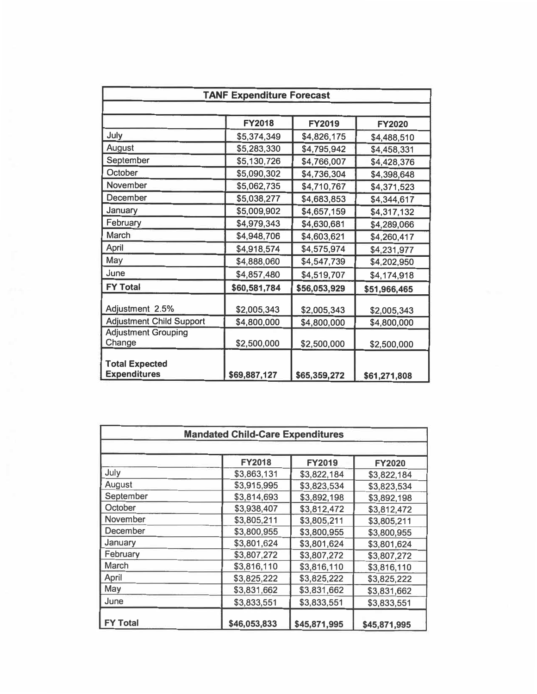| <b>TANF Expenditure Forecast</b>             |               |              |               |
|----------------------------------------------|---------------|--------------|---------------|
|                                              | <b>FY2018</b> | FY2019       | <b>FY2020</b> |
| July                                         | \$5,374,349   | \$4,826,175  | \$4,488,510   |
| August                                       | \$5,283,330   | \$4,795,942  | \$4,458,331   |
| September                                    | \$5,130,726   | \$4,766,007  | \$4,428,376   |
| October                                      | \$5,090,302   | \$4,736,304  | \$4,398,648   |
| November                                     | \$5,062,735   | \$4,710,767  | \$4,371,523   |
| December                                     | \$5,038,277   | \$4,683,853  | \$4,344,617   |
| January                                      | \$5,009,902   | \$4,657,159  | \$4,317,132   |
| February                                     | \$4,979,343   | \$4,630,681  | \$4,289,066   |
| March                                        | \$4,948,706   | \$4,603,621  | \$4,260,417   |
| April                                        | \$4,918,574   | \$4,575,974  | \$4,231,977   |
| May                                          | \$4,888,060   | \$4,547,739  | \$4,202,950   |
| June                                         | \$4,857,480   | \$4,519,707  | \$4,174,918   |
| <b>FY Total</b>                              | \$60,581,784  | \$56,053,929 | \$51,966,465  |
| Adjustment 2.5%                              | \$2,005,343   | \$2,005,343  | \$2,005,343   |
| <b>Adjustment Child Support</b>              | \$4,800,000   | \$4,800,000  | \$4,800,000   |
| <b>Adjustment Grouping</b><br>Change         | \$2,500,000   | \$2,500,000  | \$2,500,000   |
| <b>Total Expected</b><br><b>Expenditures</b> | \$69,887,127  | \$65,359,272 | \$61,271,808  |

|                 | <b>FY2018</b> | <b>FY2019</b> | <b>FY2020</b> |
|-----------------|---------------|---------------|---------------|
| July            | \$3,863,131   | \$3,822,184   | \$3,822,184   |
| August          | \$3,915,995   | \$3,823,534   | \$3,823,534   |
| September       | \$3,814,693   | \$3,892,198   | \$3,892,198   |
| October         | \$3,938,407   | \$3,812,472   | \$3,812,472   |
| November        | \$3,805,211   | \$3,805,211   | \$3,805,211   |
| <b>December</b> | \$3,800,955   | \$3,800,955   | \$3,800,955   |
| January         | \$3,801,624   | \$3,801,624   | \$3,801,624   |
| February        | \$3,807,272   | \$3,807,272   | \$3,807,272   |
| <b>March</b>    | \$3,816,110   | \$3,816,110   | \$3,816,110   |
| April           | \$3,825,222   | \$3,825,222   | \$3,825,222   |
| May             | \$3,831,662   | \$3,831,662   | \$3,831,662   |
| June            | \$3,833,551   | \$3,833,551   | \$3,833,551   |
| <b>FY Total</b> | \$46,053,833  | \$45,871,995  | \$45,871,995  |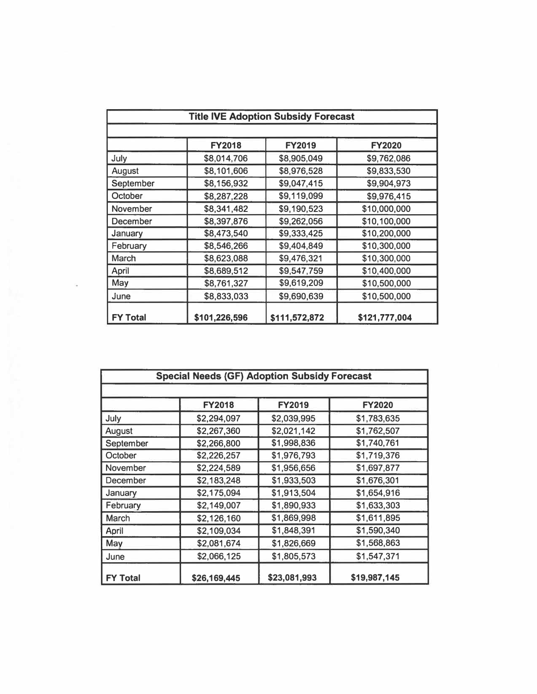|                 | <b>Title IVE Adoption Subsidy Forecast</b> |               |               |  |
|-----------------|--------------------------------------------|---------------|---------------|--|
|                 | <b>FY2018</b>                              | <b>FY2019</b> | <b>FY2020</b> |  |
| July            | \$8,014,706                                | \$8,905,049   | \$9,762,086   |  |
| August          | \$8,101,606                                | \$8,976,528   | \$9,833,530   |  |
| September       | \$8,156,932                                | \$9,047,415   | \$9,904,973   |  |
| October         | \$8,287,228                                | \$9,119,099   | \$9,976,415   |  |
| November        | \$8,341,482                                | \$9,190,523   | \$10,000,000  |  |
| December        | \$8,397,876                                | \$9,262,056   | \$10,100,000  |  |
| January         | \$8,473,540                                | \$9,333,425   | \$10,200,000  |  |
| February        | \$8,546,266                                | \$9,404,849   | \$10,300,000  |  |
| March           | \$8,623,088                                | \$9,476,321   | \$10,300,000  |  |
| April           | \$8,689,512                                | \$9,547,759   | \$10,400,000  |  |
| May             | \$8,761,327                                | \$9,619,209   | \$10,500,000  |  |
| June            | \$8,833,033                                | \$9,690,639   | \$10,500,000  |  |
| <b>FY Total</b> | \$101,226,596                              | \$111,572,872 | \$121,777,004 |  |

 $\mathcal{H}^{\text{max}}$ 

| <b>Special Needs (GF) Adoption Subsidy Forecast</b> |               |               |               |
|-----------------------------------------------------|---------------|---------------|---------------|
|                                                     | <b>FY2018</b> | <b>FY2019</b> | <b>FY2020</b> |
| July                                                | \$2,294,097   | \$2,039,995   | \$1,783,635   |
| August                                              | \$2,267,360   | \$2,021,142   | \$1,762,507   |
| September                                           | \$2,266,800   | \$1,998,836   | \$1,740,761   |
| October                                             | \$2,226,257   | \$1,976,793   | \$1,719,376   |
| November                                            | \$2,224,589   | \$1,956,656   | \$1,697,877   |
| December                                            | \$2,183,248   | \$1,933,503   | \$1,676,301   |
| January                                             | \$2,175,094   | \$1,913,504   | \$1,654,916   |
| February                                            | \$2,149,007   | \$1,890,933   | \$1,633,303   |
| March                                               | \$2,126,160   | \$1,869,998   | \$1,611,895   |
| April                                               | \$2,109,034   | \$1,848,391   | \$1,590,340   |
| May                                                 | \$2,081,674   | \$1,826,669   | \$1,568,863   |
| June                                                | \$2,066,125   | \$1,805,573   | \$1,547,371   |
| <b>FY Total</b>                                     | \$26,169,445  | \$23,081,993  | \$19,987,145  |